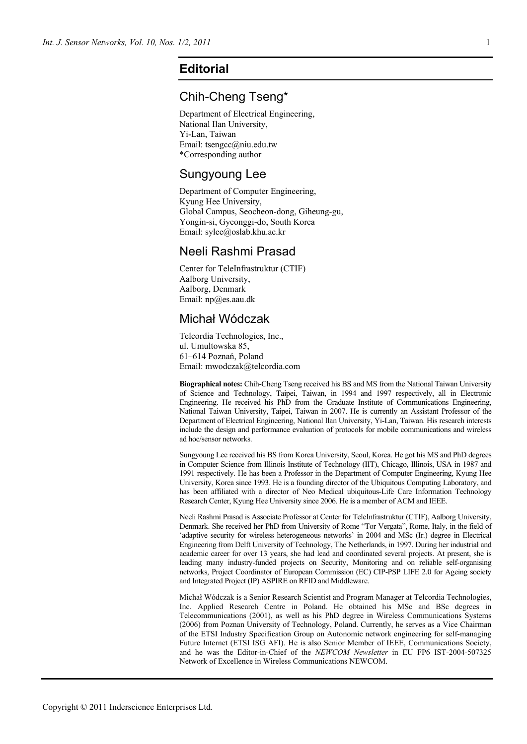# **Editorial**

## Chih-Cheng Tseng\*

Department of Electrical Engineering, National Ilan University, Yi-Lan, Taiwan Email: tsengcc@niu.edu.tw \*Corresponding author

#### Sungyoung Lee

Department of Computer Engineering, Kyung Hee University, Global Campus, Seocheon-dong, Giheung-gu, Yongin-si, Gyeonggi-do, South Korea Email: sylee@oslab.khu.ac.kr

# Neeli Rashmi Prasad

Center for TeleInfrastruktur (CTIF) Aalborg University, Aalborg, Denmark Email: np@es.aau.dk

## Michał Wódczak

Telcordia Technologies, Inc., ul. Umultowska 85, 61–614 Poznań, Poland Email: mwodczak@telcordia.com

**Biographical notes:** Chih-Cheng Tseng received his BS and MS from the National Taiwan University of Science and Technology, Taipei, Taiwan, in 1994 and 1997 respectively, all in Electronic Engineering. He received his PhD from the Graduate Institute of Communications Engineering, National Taiwan University, Taipei, Taiwan in 2007. He is currently an Assistant Professor of the Department of Electrical Engineering, National Ilan University, Yi-Lan, Taiwan. His research interests include the design and performance evaluation of protocols for mobile communications and wireless ad hoc/sensor networks.

Sungyoung Lee received his BS from Korea University, Seoul, Korea. He got his MS and PhD degrees in Computer Science from Illinois Institute of Technology (IIT), Chicago, Illinois, USA in 1987 and 1991 respectively. He has been a Professor in the Department of Computer Engineering, Kyung Hee University, Korea since 1993. He is a founding director of the Ubiquitous Computing Laboratory, and has been affiliated with a director of Neo Medical ubiquitous-Life Care Information Technology Research Center, Kyung Hee University since 2006. He is a member of ACM and IEEE.

Neeli Rashmi Prasad is Associate Professor at Center for TeleInfrastruktur (CTIF), Aalborg University, Denmark. She received her PhD from University of Rome "Tor Vergata", Rome, Italy, in the field of 'adaptive security for wireless heterogeneous networks' in 2004 and MSc (Ir.) degree in Electrical Engineering from Delft University of Technology, The Netherlands, in 1997. During her industrial and academic career for over 13 years, she had lead and coordinated several projects. At present, she is leading many industry-funded projects on Security, Monitoring and on reliable self-organising networks, Project Coordinator of European Commission (EC) CIP-PSP LIFE 2.0 for Ageing society and Integrated Project (IP) ASPIRE on RFID and Middleware.

Michał Wódczak is a Senior Research Scientist and Program Manager at Telcordia Technologies, Inc. Applied Research Centre in Poland. He obtained his MSc and BSc degrees in Telecommunications (2001), as well as his PhD degree in Wireless Communications Systems (2006) from Poznan University of Technology, Poland. Currently, he serves as a Vice Chairman of the ETSI Industry Specification Group on Autonomic network engineering for self-managing Future Internet (ETSI ISG AFI). He is also Senior Member of IEEE, Communications Society, and he was the Editor-in-Chief of the *NEWCOM Newsletter* in EU FP6 IST-2004-507325 Network of Excellence in Wireless Communications NEWCOM.